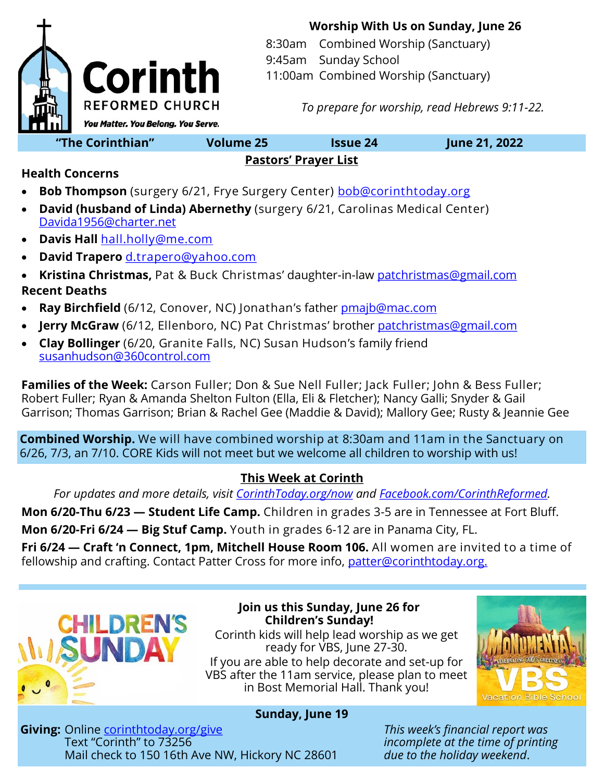

**Worship With Us on Sunday, June 26**

8:30am Combined Worship (Sanctuary) 9:45am Sunday School 11:00am Combined Worship (Sanctuary)

*To prepare for worship, read Hebrews 9:11-22.*

**"The Corinthian" Volume 25 Issue 24 June 21, 2022**

### **Pastors' Prayer List**

**Health Concerns**

- **Bob Thompson** (surgery 6/21, Frye Surgery Center) [bob@corinthtoday.org](mailto:bob@corinthtoday.org)
- **David (husband of Linda) Abernethy** (surgery 6/21, Carolinas Medical Center) [Davida1956@charter.net](mailto:Davida1956@charter.net)
- **Davis Hall** [hall.holly@me.com](mailto:hall.holly@me.com)
- **David Trapero** [d.trapero@yahoo.com](mailto:d.trapero@yahoo.com)
- **Kristina Christmas,** Pat & Buck Christmas' daughter-in-law [patchristmas@gmail.com](mailto:patchristmas@gmail.com) **Recent Deaths**
- **Ray Birchfield** (6/12, Conover, NC) Jonathan's father [pmajb@mac.com](mailto:pmajb@mac.com)
- **Jerry McGraw** (6/12, Ellenboro, NC) Pat Christmas' brother [patchristmas@gmail.com](mailto:patchristmas@gmail.com)
- **Clay Bollinger** (6/20, Granite Falls, NC) Susan Hudson's family friend [susanhudson@360control.com](mailto:susanhudson@360control.com)

**Families of the Week:** Carson Fuller; Don & Sue Nell Fuller; Jack Fuller; John & Bess Fuller; Robert Fuller; Ryan & Amanda Shelton Fulton (Ella, Eli & Fletcher); Nancy Galli; Snyder & Gail Garrison; Thomas Garrison; Brian & Rachel Gee (Maddie & David); Mallory Gee; Rusty & Jeannie Gee

**Combined Worship.** We will have combined worship at 8:30am and 11am in the Sanctuary on 6/26, 7/3, an 7/10. CORE Kids will not meet but we welcome all children to worship with us!

## **This Week at Corinth**

*For updates and more details, visit [CorinthToday.org/now](http://www.corinthtoday.org/now) and [Facebook.com/CorinthReformed.](http://www.Facebook.com/CorinthReformed)* 

**Mon 6/20-Thu 6/23 — Student Life Camp.** Children in grades 3-5 are in Tennessee at Fort Bluff.

**Mon 6/20-Fri 6/24 — Big Stuf Camp.** Youth in grades 6-12 are in Panama City, FL.

**Fri 6/24 — Craft 'n Connect, 1pm, Mitchell House Room 106.** All women are invited to a time of fellowship and crafting. Contact Patter Cross for more info, [patter@corinthtoday.org.](mailto:patter@corinthtoday.org.)



**Join us this Sunday, June 26 for Children's Sunday!** 

Corinth kids will help lead worship as we get ready for VBS, June 27-30. If you are able to help decorate and set-up for VBS after the 11am service, please plan to meet in Bost Memorial Hall. Thank you!



## **Sunday, June 19**

**Giving:** Online <u>corinthtoday.org/give</u> *This week's financial report was This week's financial report was Text* "Corinth" to 73256 Mail check to 150 16th Ave NW, Hickory NC 28601 *due to the holiday weekend*.

incomplete at the time of printing<br>due to the holiday weekend.